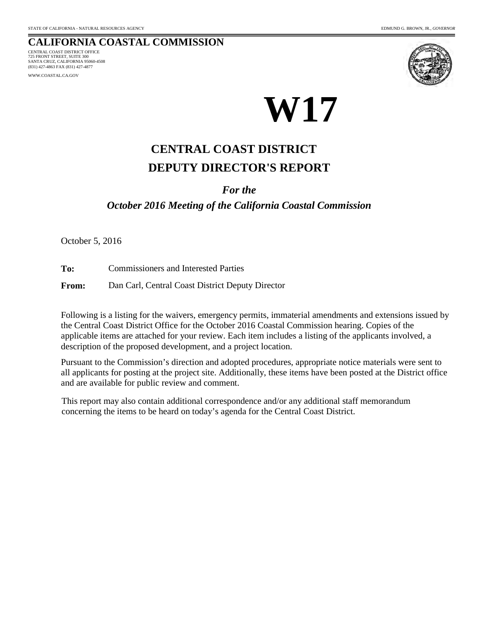725 FRONT STREET, SUITE 300 SANTA CRUZ, CALIFORNIA 95060-4508 (831) 427-4863 FAX (831) 427-4877 WWW.COASTAL.CA.GOV CENTRAL COAST DISTRICT OFFICE



**W17**

## **DEPUTY DIRECTOR'S REPORT CENTRAL COAST DISTRICT**

### *For the*

### *October 2016 Meeting of the California Coastal Commission*

October 5, 2016

**To:** Commissioners and Interested Parties

**From:** Dan Carl, Central Coast District Deputy Director

Following is a listing for the waivers, emergency permits, immaterial amendments and extensions issued by the Central Coast District Office for the October 2016 Coastal Commission hearing. Copies of the applicable items are attached for your review. Each item includes a listing of the applicants involved, a description of the proposed development, and a project location.

Pursuant to the Commission's direction and adopted procedures, appropriate notice materials were sent to all applicants for posting at the project site. Additionally, these items have been posted at the District office and are available for public review and comment.

This report may also contain additional correspondence and/or any additional staff memorandum concerning the items to be heard on today's agenda for the Central Coast District.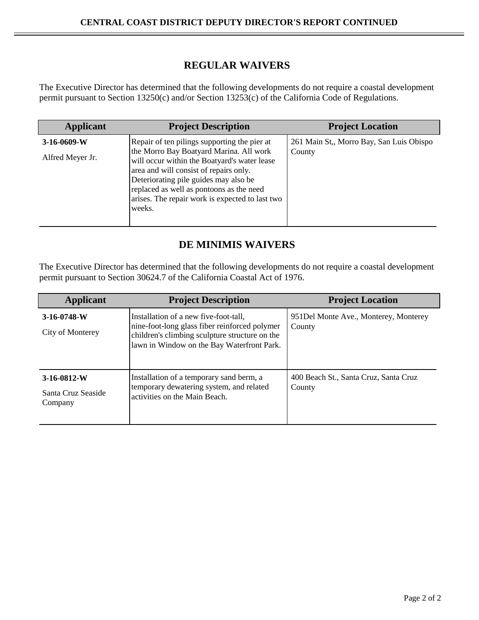### **REGULAR WAIVERS**

The Executive Director has determined that the following developments do not require a coastal development permit pursuant to Section 13250(c) and/or Section 13253(c) of the California Code of Regulations.

| <b>Applicant</b> | <b>Project Description</b>                                                                                                                                                                                                                                                          | <b>Project Location</b>                  |
|------------------|-------------------------------------------------------------------------------------------------------------------------------------------------------------------------------------------------------------------------------------------------------------------------------------|------------------------------------------|
| $3-16-0609-W$    | Repair of ten pilings supporting the pier at                                                                                                                                                                                                                                        | 261 Main St., Morro Bay, San Luis Obispo |
| Alfred Meyer Jr. | the Morro Bay Boatyard Marina. All work<br>will occur within the Boatyard's water lease<br>area and will consist of repairs only.<br>Deteriorating pile guides may also be<br>replaced as well as pontoons as the need<br>arises. The repair work is expected to last two<br>weeks. | County                                   |

## **DE MINIMIS WAIVERS**

The Executive Director has determined that the following developments do not require a coastal development permit pursuant to Section 30624.7 of the California Coastal Act of 1976.

| <b>Applicant</b>                               | <b>Project Description</b>                                                                                                                                                             | <b>Project Location</b>                         |
|------------------------------------------------|----------------------------------------------------------------------------------------------------------------------------------------------------------------------------------------|-------------------------------------------------|
| $3-16-0748-W$<br>City of Monterey              | Installation of a new five-foot-tall,<br>nine-foot-long glass fiber reinforced polymer<br>children's climbing sculpture structure on the<br>lawn in Window on the Bay Waterfront Park. | 951Del Monte Ave., Monterey, Monterey<br>County |
| $3-16-0812-W$<br>Santa Cruz Seaside<br>Company | Installation of a temporary sand berm, a<br>temporary dewatering system, and related<br>activities on the Main Beach.                                                                  | 400 Beach St., Santa Cruz, Santa Cruz<br>County |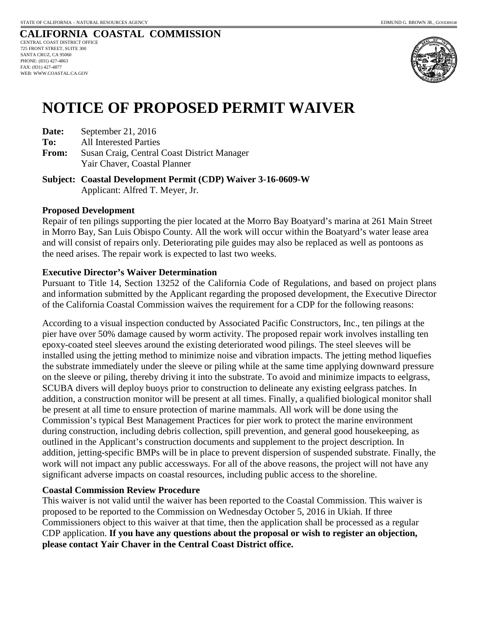#### **CALIFORNIA COASTAL COMMISSION** CENTRAL COAST DISTRICT OFFICE 725 FRONT STREET, SUITE 300 SANTA CRUZ, CA 95060 PHONE: (831) 427-4863 FAX: (831) 427-4877 WEB: WWW.COASTAL.CA.GOV



# **NOTICE OF PROPOSED PERMIT WAIVER**

- **Date:** September 21, 2016
- **To:** All Interested Parties
- **From:** Susan Craig, Central Coast District Manager Yair Chaver, Coastal Planner

**Subject: Coastal Development Permit (CDP) Waiver 3-16-0609-W**  Applicant: Alfred T. Meyer, Jr.

#### **Proposed Development**

Repair of ten pilings supporting the pier located at the Morro Bay Boatyard's marina at 261 Main Street in Morro Bay, San Luis Obispo County. All the work will occur within the Boatyard's water lease area and will consist of repairs only. Deteriorating pile guides may also be replaced as well as pontoons as the need arises. The repair work is expected to last two weeks.

#### **Executive Director's Waiver Determination**

Pursuant to Title 14, Section 13252 of the California Code of Regulations, and based on project plans and information submitted by the Applicant regarding the proposed development, the Executive Director of the California Coastal Commission waives the requirement for a CDP for the following reasons:

According to a visual inspection conducted by Associated Pacific Constructors, Inc., ten pilings at the pier have over 50% damage caused by worm activity. The proposed repair work involves installing ten epoxy-coated steel sleeves around the existing deteriorated wood pilings. The steel sleeves will be installed using the jetting method to minimize noise and vibration impacts. The jetting method liquefies the substrate immediately under the sleeve or piling while at the same time applying downward pressure on the sleeve or piling, thereby driving it into the substrate. To avoid and minimize impacts to eelgrass, SCUBA divers will deploy buoys prior to construction to delineate any existing eelgrass patches. In addition, a construction monitor will be present at all times. Finally, a qualified biological monitor shall be present at all time to ensure protection of marine mammals. All work will be done using the Commission's typical Best Management Practices for pier work to protect the marine environment during construction, including debris collection, spill prevention, and general good housekeeping, as outlined in the Applicant's construction documents and supplement to the project description. In addition, jetting-specific BMPs will be in place to prevent dispersion of suspended substrate. Finally, the work will not impact any public accessways. For all of the above reasons, the project will not have any significant adverse impacts on coastal resources, including public access to the shoreline.

### **Coastal Commission Review Procedure**

This waiver is not valid until the waiver has been reported to the Coastal Commission. This waiver is proposed to be reported to the Commission on Wednesday October 5, 2016 in Ukiah. If three Commissioners object to this waiver at that time, then the application shall be processed as a regular CDP application. **If you have any questions about the proposal or wish to register an objection, please contact Yair Chaver in the Central Coast District office.**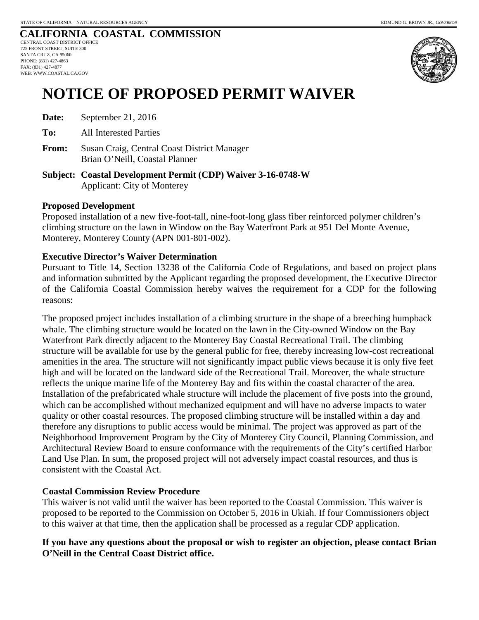## **CALIFORNIA COASTAL COMMISSION**

CENTRAL COAST DISTRICT OFFICE 725 FRONT STREET, SUITE 300 SANTA CRUZ, CA 95060 PHONE: (831) 427-4863 FAX: (831) 427-4877 WEB: WWW.COASTAL.CA.GOV



## **NOTICE OF PROPOSED PERMIT WAIVER**

- **Date:** September 21, 2016
- **To:** All Interested Parties
- **From:** Susan Craig, Central Coast District Manager Brian O'Neill, Coastal Planner
- **Subject: Coastal Development Permit (CDP) Waiver 3-16-0748-W**  Applicant: City of Monterey

#### **Proposed Development**

Proposed installation of a new five-foot-tall, nine-foot-long glass fiber reinforced polymer children's climbing structure on the lawn in Window on the Bay Waterfront Park at 951 Del Monte Avenue, Monterey, Monterey County (APN 001-801-002).

#### **Executive Director's Waiver Determination**

Pursuant to Title 14, Section 13238 of the California Code of Regulations, and based on project plans and information submitted by the Applicant regarding the proposed development, the Executive Director of the California Coastal Commission hereby waives the requirement for a CDP for the following reasons:

The proposed project includes installation of a climbing structure in the shape of a breeching humpback whale. The climbing structure would be located on the lawn in the City-owned Window on the Bay Waterfront Park directly adjacent to the Monterey Bay Coastal Recreational Trail. The climbing structure will be available for use by the general public for free, thereby increasing low-cost recreational amenities in the area. The structure will not significantly impact public views because it is only five feet high and will be located on the landward side of the Recreational Trail. Moreover, the whale structure reflects the unique marine life of the Monterey Bay and fits within the coastal character of the area. Installation of the prefabricated whale structure will include the placement of five posts into the ground, which can be accomplished without mechanized equipment and will have no adverse impacts to water quality or other coastal resources. The proposed climbing structure will be installed within a day and therefore any disruptions to public access would be minimal. The project was approved as part of the Neighborhood Improvement Program by the City of Monterey City Council, Planning Commission, and Architectural Review Board to ensure conformance with the requirements of the City's certified Harbor Land Use Plan. In sum, the proposed project will not adversely impact coastal resources, and thus is consistent with the Coastal Act.

#### **Coastal Commission Review Procedure**

This waiver is not valid until the waiver has been reported to the Coastal Commission. This waiver is proposed to be reported to the Commission on October 5, 2016 in Ukiah. If four Commissioners object to this waiver at that time, then the application shall be processed as a regular CDP application.

### **If you have any questions about the proposal or wish to register an objection, please contact Brian O'Neill in the Central Coast District office.**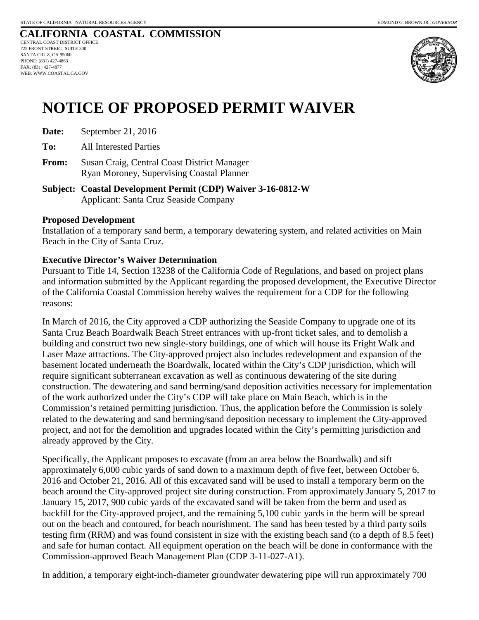#### **CALIFORNIA COASTAL COMMISSION** CENTRAL COAST DISTRICT OFFICE 725 FRONT STREET, SUITE 300 SANTA CRUZ, CA 95060 PHONE: (831) 427-4863 FAX: (831) 427-4877 WEB: WWW.COASTAL.CA.GOV



# **NOTICE OF PROPOSED PERMIT WAIVER**

**Date:** September 21, 2016

**To:** All Interested Parties

- **From:** Susan Craig, Central Coast District Manager Ryan Moroney, Supervising Coastal Planner
- **Subject: Coastal Development Permit (CDP) Waiver 3-16-0812-W**  Applicant: Santa Cruz Seaside Company

#### **Proposed Development**

Installation of a temporary sand berm, a temporary dewatering system, and related activities on Main Beach in the City of Santa Cruz.

#### **Executive Director's Waiver Determination**

Pursuant to Title 14, Section 13238 of the California Code of Regulations, and based on project plans and information submitted by the Applicant regarding the proposed development, the Executive Director of the California Coastal Commission hereby waives the requirement for a CDP for the following reasons:

In March of 2016, the City approved a CDP authorizing the Seaside Company to upgrade one of its Santa Cruz Beach Boardwalk Beach Street entrances with up-front ticket sales, and to demolish a building and construct two new single-story buildings, one of which will house its Fright Walk and Laser Maze attractions. The City-approved project also includes redevelopment and expansion of the basement located underneath the Boardwalk, located within the City's CDP jurisdiction, which will require significant subterranean excavation as well as continuous dewatering of the site during construction. The dewatering and sand berming/sand deposition activities necessary for implementation of the work authorized under the City's CDP will take place on Main Beach, which is in the Commission's retained permitting jurisdiction. Thus, the application before the Commission is solely related to the dewatering and sand berming/sand deposition necessary to implement the City-approved project, and not for the demolition and upgrades located within the City's permitting jurisdiction and already approved by the City.

Specifically, the Applicant proposes to excavate (from an area below the Boardwalk) and sift approximately 6,000 cubic yards of sand down to a maximum depth of five feet, between October 6, 2016 and October 21, 2016. All of this excavated sand will be used to install a temporary berm on the beach around the City-approved project site during construction. From approximately January 5, 2017 to January 15, 2017, 900 cubic yards of the excavated sand will be taken from the berm and used as backfill for the City-approved project, and the remaining 5,100 cubic yards in the berm will be spread out on the beach and contoured, for beach nourishment. The sand has been tested by a third party soils testing firm (RRM) and was found consistent in size with the existing beach sand (to a depth of 8.5 feet) and safe for human contact. All equipment operation on the beach will be done in conformance with the Commission-approved Beach Management Plan (CDP 3-11-027-A1).

In addition, a temporary eight-inch-diameter groundwater dewatering pipe will run approximately 700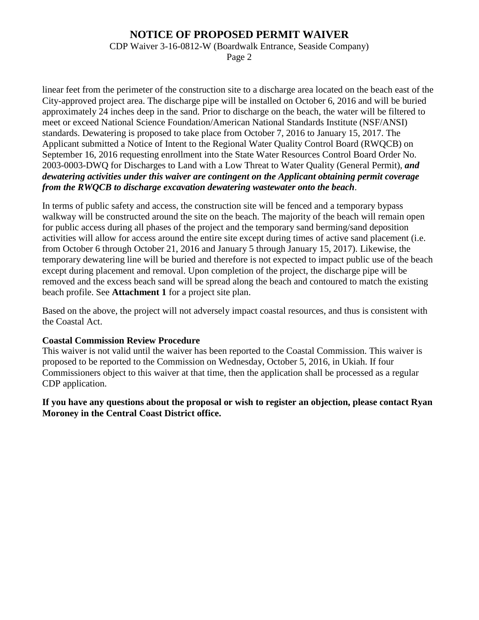## **NOTICE OF PROPOSED PERMIT WAIVER**

CDP Waiver 3-16-0812-W (Boardwalk Entrance, Seaside Company)

Page 2

linear feet from the perimeter of the construction site to a discharge area located on the beach east of the City-approved project area. The discharge pipe will be installed on October 6, 2016 and will be buried approximately 24 inches deep in the sand. Prior to discharge on the beach, the water will be filtered to meet or exceed National Science Foundation/American National Standards Institute (NSF/ANSI) standards. Dewatering is proposed to take place from October 7, 2016 to January 15, 2017. The Applicant submitted a Notice of Intent to the Regional Water Quality Control Board (RWQCB) on September 16, 2016 requesting enrollment into the State Water Resources Control Board Order No. 2003-0003-DWQ for Discharges to Land with a Low Threat to Water Quality (General Permit), *and dewatering activities under this waiver are contingent on the Applicant obtaining permit coverage from the RWQCB to discharge excavation dewatering wastewater onto the beach*.

In terms of public safety and access, the construction site will be fenced and a temporary bypass walkway will be constructed around the site on the beach. The majority of the beach will remain open for public access during all phases of the project and the temporary sand berming/sand deposition activities will allow for access around the entire site except during times of active sand placement (i.e. from October 6 through October 21, 2016 and January 5 through January 15, 2017). Likewise, the temporary dewatering line will be buried and therefore is not expected to impact public use of the beach except during placement and removal. Upon completion of the project, the discharge pipe will be removed and the excess beach sand will be spread along the beach and contoured to match the existing beach profile. See **Attachment 1** for a project site plan.

Based on the above, the project will not adversely impact coastal resources, and thus is consistent with the Coastal Act.

#### **Coastal Commission Review Procedure**

This waiver is not valid until the waiver has been reported to the Coastal Commission. This waiver is proposed to be reported to the Commission on Wednesday, October 5, 2016, in Ukiah. If four Commissioners object to this waiver at that time, then the application shall be processed as a regular CDP application.

**If you have any questions about the proposal or wish to register an objection, please contact Ryan Moroney in the Central Coast District office.**